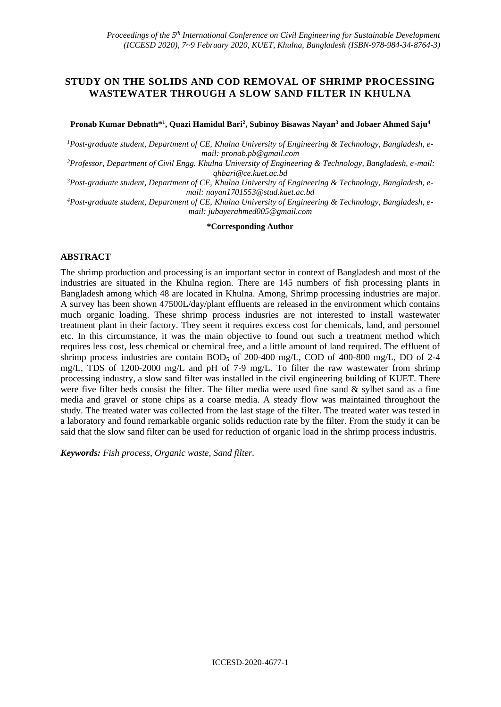# **STUDY ON THE SOLIDS AND COD REMOVAL OF SHRIMP PROCESSING WASTEWATER THROUGH A SLOW SAND FILTER IN KHULNA**

**Pronab Kumar Debnath\*<sup>1</sup> , Quazi Hamidul Bari<sup>2</sup> , Subinoy Bisawas Nayan<sup>3</sup> and Jobaer Ahmed Saju<sup>4</sup>**

*1Post-graduate student, Department of CE, Khulna University of Engineering & Technology, Bangladesh, email: [pronab.pb@gmail.com](mailto:pronab.pb@gmail.com)*

*<sup>2</sup>Professor, Department of Civil Engg. Khulna University of Engineering & Technology, Bangladesh, e-mail: [qhbari@ce.kuet.ac.bd](file:///C:/Users/pronab/Downloads/qhbari@ce.kuet.ac.bd)*

*3Post-graduate student, Department of CE, Khulna University of Engineering & Technology, Bangladesh, email: [nayan1701553@stud.kuet.ac.bd](mailto:nayan1701553@stud.kuet.ac.bd)*

*4Post-graduate student, Department of CE, Khulna University of Engineering & Technology, Bangladesh, email: [jubayerahmed005@gmail.com](mailto:jubayerahmed005@gmail.com)*

#### **\*Corresponding Author**

#### **ABSTRACT**

The shrimp production and processing is an important sector in context of Bangladesh and most of the industries are situated in the Khulna region. There are 145 numbers of fish processing plants in Bangladesh among which 48 are located in Khulna. Among, Shrimp processing industries are major. A survey has been shown 47500L/day/plant effluents are released in the environment which contains much organic loading. These shrimp process indusries are not interested to install wastewater treatment plant in their factory. They seem it requires excess cost for chemicals, land, and personnel etc. In this circumstance, it was the main objective to found out such a treatment method which requires less cost, less chemical or chemical free, and a little amount of land required. The effluent of shrimp process industries are contain  $BOD_5$  of 200-400 mg/L, COD of 400-800 mg/L, DO of 2-4 mg/L, TDS of 1200-2000 mg/L and pH of 7-9 mg/L. To filter the raw wastewater from shrimp processing industry, a slow sand filter was installed in the civil engineering building of KUET. There were five filter beds consist the filter. The filter media were used fine sand & sylhet sand as a fine media and gravel or stone chips as a coarse media. A steady flow was maintained throughout the study. The treated water was collected from the last stage of the filter. The treated water was tested in a laboratory and found remarkable organic solids reduction rate by the filter. From the study it can be said that the slow sand filter can be used for reduction of organic load in the shrimp process industris.

*Keywords: Fish process, Organic waste, Sand filter.*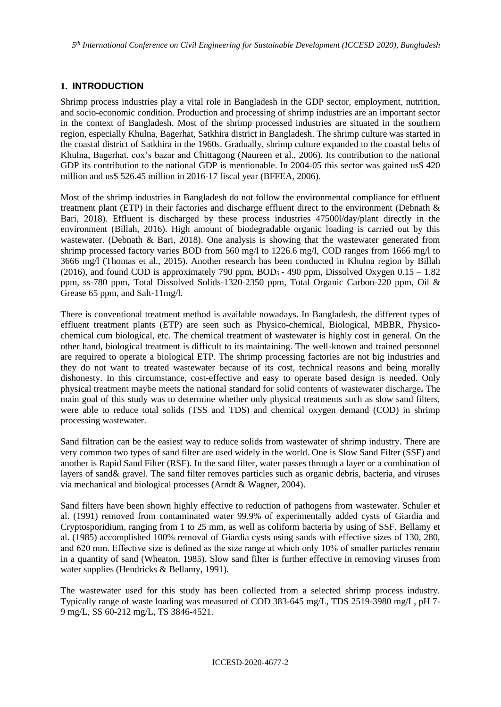## **1. INTRODUCTION**

Shrimp process industries play a vital role in Bangladesh in the GDP sector, employment, nutrition, and socio-economic condition. Production and processing of shrimp industries are an important sector in the context of Bangladesh. Most of the shrimp processed industries are situated in the southern region, especially Khulna, Bagerhat, Satkhira district in Bangladesh. The shrimp culture was started in the coastal district of Satkhira in the 1960s. Gradually, shrimp culture expanded to the coastal belts of Khulna, Bagerhat, cox's bazar and Chittagong (Naureen et al., 2006). Its contribution to the national GDP its contribution to the national GDP is mentionable. In 2004-05 this sector was gained us\$ 420 million and us\$ 526.45 million in 2016-17 fiscal year (BFFEA, 2006).

Most of the shrimp industries in Bangladesh do not follow the environmental compliance for effluent treatment plant (ETP) in their factories and discharge effluent direct to the environment (Debnath & Bari, 2018). Effluent is discharged by these process industries 47500l/day/plant directly in the environment (Billah, 2016). High amount of biodegradable organic loading is carried out by this wastewater. (Debnath & Bari, 2018). One analysis is showing that the wastewater generated from shrimp processed factory varies BOD from 560 mg/l to 1226.6 mg/l, COD ranges from 1666 mg/l to 3666 mg/l (Thomas et al., 2015). Another research has been conducted in Khulna region by Billah (2016), and found COD is approximately 790 ppm, BOD<sub>5</sub> - 490 ppm, Dissolved Oxygen  $0.15 - 1.82$ ppm, ss-780 ppm, Total Dissolved Solids-1320-2350 ppm, Total Organic Carbon-220 ppm, Oil & Grease 65 ppm, and Salt-11mg/l.

There is conventional treatment method is available nowadays. In Bangladesh, the different types of effluent treatment plants (ETP) are seen such as Physico-chemical, Biological, MBBR, Physicochemical cum biological, etc. The chemical treatment of wastewater is highly cost in general. On the other hand, biological treatment is difficult to its maintaining. The well-known and trained personnel are required to operate a biological ETP. The shrimp processing factories are not big industries and they do not want to treated wastewater because of its cost, technical reasons and being morally dishonesty. In this circumstance, cost-effective and easy to operate based design is needed. Only physical treatment maybe meets the national standard for solid contents of wastewater discharge**.** The main goal of this study was to determine whether only physical treatments such as slow sand filters, were able to reduce total solids (TSS and TDS) and chemical oxygen demand (COD) in shrimp processing wastewater.

Sand filtration can be the easiest way to reduce solids from wastewater of shrimp industry. There are very common two types of sand filter are used widely in the world. One is Slow Sand Filter (SSF) and another is Rapid Sand Filter (RSF). In the sand filter, water passes through a layer or a combination of layers of sand& gravel. The sand filter removes particles such as organic debris, bacteria, and viruses via mechanical and biological processes (Arndt & Wagner, 2004).

Sand filters have been shown highly effective to reduction of pathogens from wastewater. Schuler et al. (1991) removed from contaminated water 99.9% of experimentally added cysts of Giardia and Cryptosporidium, ranging from 1 to 25 mm, as well as coliform bacteria by using of SSF. Bellamy et al. (1985) accomplished 100% removal of Giardia cysts using sands with effective sizes of 130, 280, and 620 mm. Effective size is defined as the size range at which only 10% of smaller particles remain in a quantity of sand (Wheaton, 1985). Slow sand filter is further effective in removing viruses from water supplies (Hendricks & Bellamy, 1991).

The wastewater used for this study has been collected from a selected shrimp process industry. Typically range of waste loading was measured of COD 383-645 mg/L, TDS 2519-3980 mg/L, pH 7- 9 mg/L, SS 60-212 mg/L, TS 3846-4521.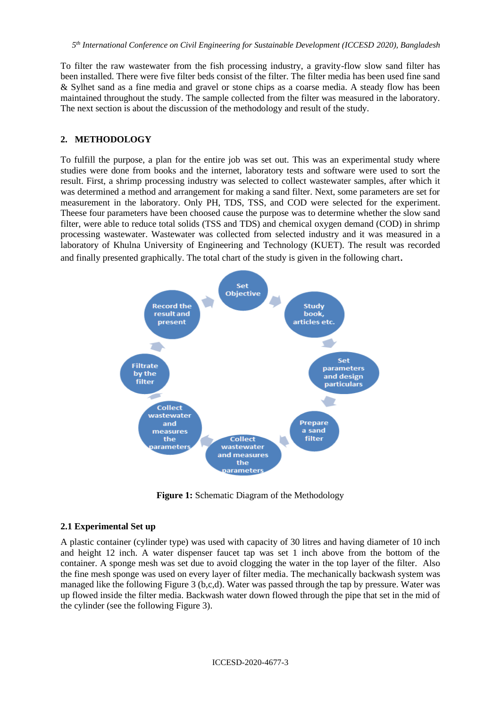To filter the raw wastewater from the fish processing industry, a gravity-flow slow sand filter has been installed. There were five filter beds consist of the filter. The filter media has been used fine sand & Sylhet sand as a fine media and gravel or stone chips as a coarse media. A steady flow has been maintained throughout the study. The sample collected from the filter was measured in the laboratory. The next section is about the discussion of the methodology and result of the study.

### **2. METHODOLOGY**

To fulfill the purpose, a plan for the entire job was set out. This was an experimental study where studies were done from books and the internet, laboratory tests and software were used to sort the result. First, a shrimp processing industry was selected to collect wastewater samples, after which it was determined a method and arrangement for making a sand filter. Next, some parameters are set for measurement in the laboratory. Only PH, TDS, TSS, and COD were selected for the experiment. Theese four parameters have been choosed cause the purpose was to determine whether the slow sand filter, were able to reduce total solids (TSS and TDS) and chemical oxygen demand (COD) in shrimp processing wastewater. Wastewater was collected from selected industry and it was measured in a laboratory of Khulna University of Engineering and Technology (KUET). The result was recorded and finally presented graphically. The total chart of the study is given in the following chart.



**Figure 1:** Schematic Diagram of the Methodology

#### **2.1 Experimental Set up**

A plastic container (cylinder type) was used with capacity of 30 litres and having diameter of 10 inch and height 12 inch. A water dispenser faucet tap was set 1 inch above from the bottom of the container. A sponge mesh was set due to avoid clogging the water in the top layer of the filter. Also the fine mesh sponge was used on every layer of filter media. The mechanically backwash system was managed like the following Figure 3 (b,c,d). Water was passed through the tap by pressure. Water was up flowed inside the filter media. Backwash water down flowed through the pipe that set in the mid of the cylinder (see the following Figure 3).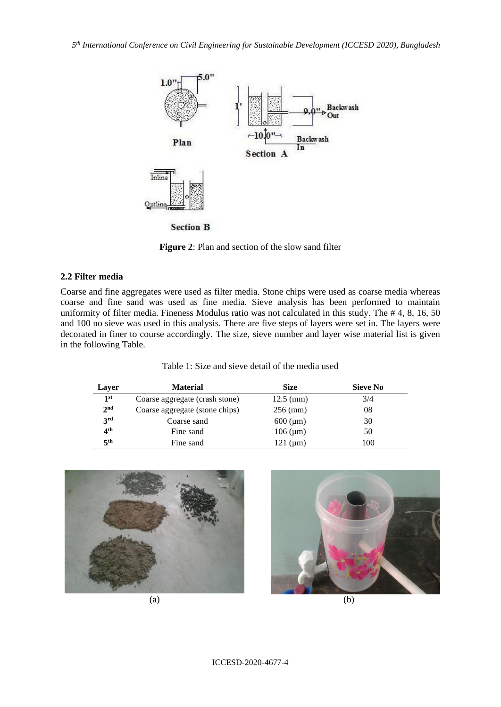

**Figure 2**: Plan and section of the slow sand filter

#### **2.2 Filter media**

Coarse and fine aggregates were used as filter media. Stone chips were used as coarse media whereas coarse and fine sand was used as fine media. Sieve analysis has been performed to maintain uniformity of filter media. Fineness Modulus ratio was not calculated in this study. The # 4, 8, 16, 50 and 100 no sieve was used in this analysis. There are five steps of layers were set in. The layers were decorated in finer to course accordingly. The size, sieve number and layer wise material list is given in the following Table.

| Table 1: Size and sieve detail of the media used |  |
|--------------------------------------------------|--|
|--------------------------------------------------|--|

| Layer           | <b>Material</b>                | Size                  | <b>Sieve No</b> |  |
|-----------------|--------------------------------|-----------------------|-----------------|--|
| 1 <sup>st</sup> | Coarse aggregate (crash stone) | $12.5 \, \text{(mm)}$ | 3/4             |  |
| 2 <sub>nd</sub> | Coarse aggregate (stone chips) | $256$ (mm)            | 08              |  |
| 3 <sup>rd</sup> | Coarse sand                    | $600 \, (\mu m)$      | 30              |  |
| 4 <sup>th</sup> | Fine sand                      | $106 \, (\mu m)$      | 50              |  |
| 5 <sup>th</sup> | Fine sand                      | 121 $(\mu m)$         | 100             |  |



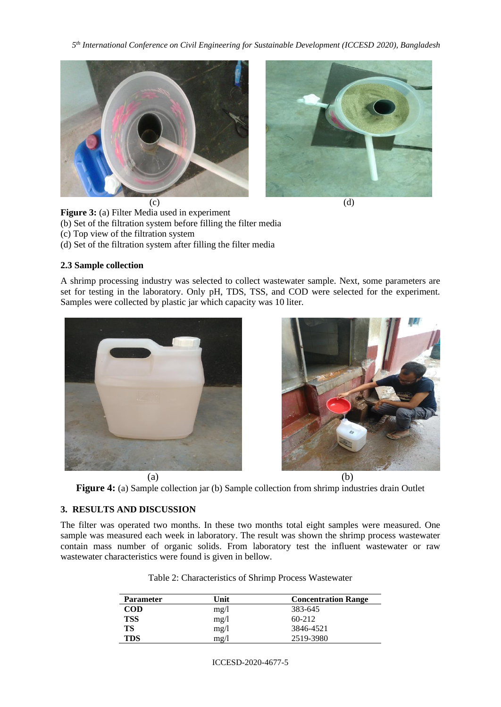*5 th International Conference on Civil Engineering for Sustainable Development (ICCESD 2020), Bangladesh*





$$
\overline{d}
$$

**Figure 3:** (a) Filter Media used in experiment (b) Set of the filtration system before filling the filter media (c) Top view of the filtration system

(d) Set of the filtration system after filling the filter media

## **2.3 Sample collection**

A shrimp processing industry was selected to collect wastewater sample. Next, some parameters are set for testing in the laboratory. Only pH, TDS, TSS, and COD were selected for the experiment. Samples were collected by plastic jar which capacity was 10 liter.



**Figure 4:** (a) Sample collection jar (b) Sample collection from shrimp industries drain Outlet

# **3. RESULTS AND DISCUSSION**

The filter was operated two months. In these two months total eight samples were measured. One sample was measured each week in laboratory. The result was shown the shrimp process wastewater contain mass number of organic solids. From laboratory test the influent wastewater or raw wastewater characteristics were found is given in bellow.

| <b>Parameter</b> | Unit | <b>Concentration Range</b> |  |
|------------------|------|----------------------------|--|
| <b>COD</b>       | mg/l | 383-645                    |  |
| <b>TSS</b>       | mg/l | $60-212$                   |  |
| TS               | mg/l | 3846-4521                  |  |
| <b>TDS</b>       | mg/l | 2519-3980                  |  |

Table 2: Characteristics of Shrimp Process Wastewater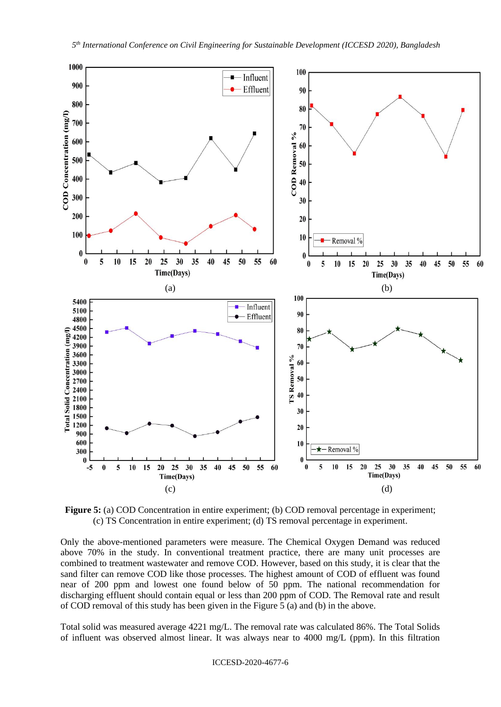

**Figure 5:** (a) COD Concentration in entire experiment; (b) COD removal percentage in experiment; (c) TS Concentration in entire experiment; (d) TS removal percentage in experiment.

Only the above-mentioned parameters were measure. The Chemical Oxygen Demand was reduced above 70% in the study. In conventional treatment practice, there are many unit processes are combined to treatment wastewater and remove COD. However, based on this study, it is clear that the sand filter can remove COD like those processes. The highest amount of COD of effluent was found near of 200 ppm and lowest one found below of 50 ppm. The national recommendation for discharging effluent should contain equal or less than 200 ppm of COD. The Removal rate and result of COD removal of this study has been given in the Figure 5 (a) and (b) in the above.

Total solid was measured average 4221 mg/L. The removal rate was calculated 86%. The Total Solids of influent was observed almost linear. It was always near to 4000 mg/L (ppm). In this filtration

ICCESD-2020-4677-6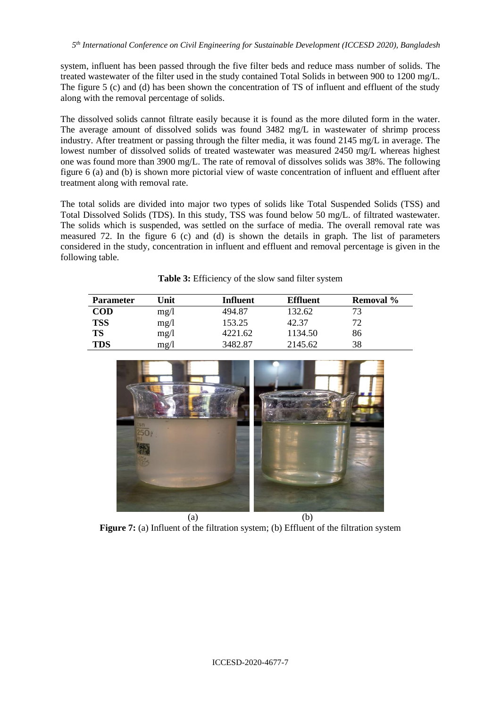system, influent has been passed through the five filter beds and reduce mass number of solids. The treated wastewater of the filter used in the study contained Total Solids in between 900 to 1200 mg/L. The figure 5 (c) and (d) has been shown the concentration of TS of influent and effluent of the study along with the removal percentage of solids.

The dissolved solids cannot filtrate easily because it is found as the more diluted form in the water. The average amount of dissolved solids was found 3482 mg/L in wastewater of shrimp process industry. After treatment or passing through the filter media, it was found 2145 mg/L in average. The lowest number of dissolved solids of treated wastewater was measured 2450 mg/L whereas highest one was found more than 3900 mg/L. The rate of removal of dissolves solids was 38%. The following figure 6 (a) and (b) is shown more pictorial view of waste concentration of influent and effluent after treatment along with removal rate.

The total solids are divided into major two types of solids like Total Suspended Solids (TSS) and Total Dissolved Solids (TDS). In this study, TSS was found below 50 mg/L. of filtrated wastewater. The solids which is suspended, was settled on the surface of media. The overall removal rate was measured 72. In the figure 6 (c) and (d) is shown the details in graph. The list of parameters considered in the study, concentration in influent and effluent and removal percentage is given in the following table.

| Table 3: Efficiency of the slow sand filter system |  |
|----------------------------------------------------|--|
|----------------------------------------------------|--|

| <b>Parameter</b> | Unit          | Influent | <b>Effluent</b> | Removal % |
|------------------|---------------|----------|-----------------|-----------|
| <b>COD</b>       | mg/1          | 494.87   | 132.62          |           |
| <b>TSS</b>       | mg/1          | 153.25   | 42.37           |           |
| <b>TS</b>        | mg/1          | 4221.62  | 1134.50         | 86        |
| <b>TDS</b>       | $m\text{g}/l$ | 3482.87  | 2145.62         | 38        |



**Figure 7:** (a) Influent of the filtration system; (b) Effluent of the filtration system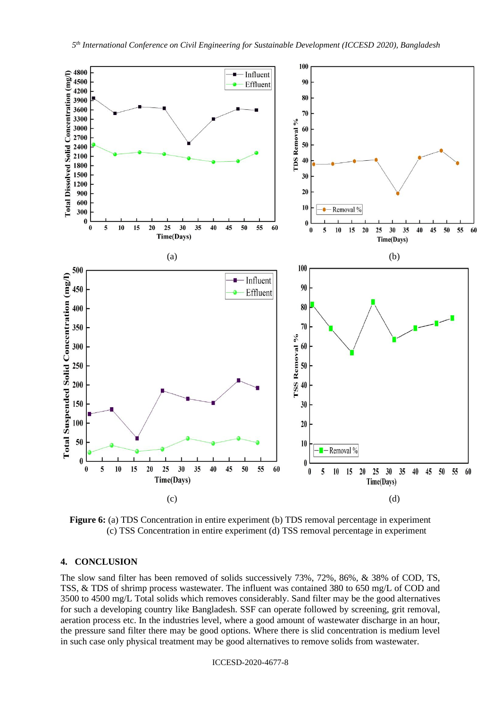

**Figure 6:** (a) TDS Concentration in entire experiment (b) TDS removal percentage in experiment (c) TSS Concentration in entire experiment (d) TSS removal percentage in experiment

### **4. CONCLUSION**

The slow sand filter has been removed of solids successively 73%, 72%, 86%, & 38% of COD, TS, TSS, & TDS of shrimp process wastewater. The influent was contained 380 to 650 mg/L of COD and 3500 to 4500 mg/L Total solids which removes considerably. Sand filter may be the good alternatives for such a developing country like Bangladesh. SSF can operate followed by screening, grit removal, aeration process etc. In the industries level, where a good amount of wastewater discharge in an hour, the pressure sand filter there may be good options. Where there is slid concentration is medium level in such case only physical treatment may be good alternatives to remove solids from wastewater.

ICCESD-2020-4677-8